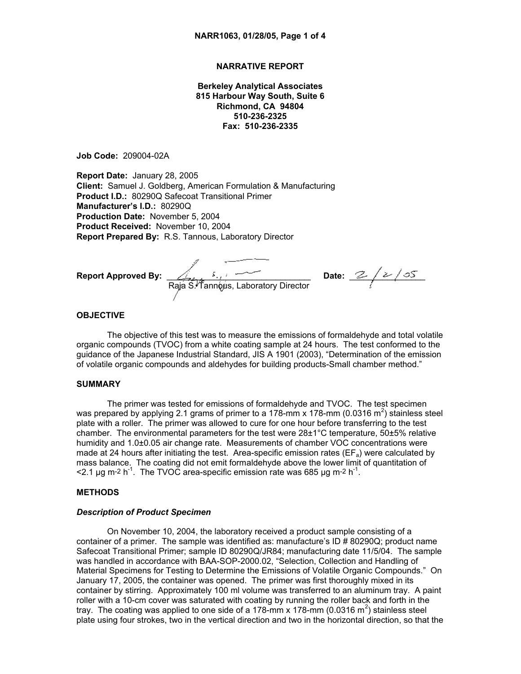## **NARRATIVE REPORT**

**Berkeley Analytical Associates 815 Harbour Way South, Suite 6 Richmond, CA 94804 510-236-2325 Fax: 510-236-2335**

**Job Code:** 209004-02A

**Report Date:** January 28, 2005 **Client:** Samuel J. Goldberg, American Formulation & Manufacturing **Product I.D.:** 80290Q Safecoat Transitional Primer **Manufacturer's I.D.:** 80290Q **Production Date:** November 5, 2004 **Product Received:** November 10, 2004 **Report Prepared By:** R.S. Tannous, Laboratory Director

**Report Approved By:** \_\_\_\_\_\_\_\_\_\_\_\_\_\_\_\_\_\_\_\_\_\_\_\_\_\_\_\_\_\_\_\_\_**Date:** \_\_\_\_\_\_\_\_\_\_\_\_\_\_\_\_ Raja S. Tannoµs, Laboratory Director

## **OBJECTIVE**

The objective of this test was to measure the emissions of formaldehyde and total volatile organic compounds (TVOC) from a white coating sample at 24 hours. The test conformed to the guidance of the Japanese Industrial Standard, JIS A 1901 (2003), "Determination of the emission of volatile organic compounds and aldehydes for building products-Small chamber method."

### **SUMMARY**

The primer was tested for emissions of formaldehyde and TVOC. The test specimen was prepared by applying 2.1 grams of primer to a 178-mm x 178-mm (0.0316 m<sup>2</sup>) stainless steel plate with a roller. The primer was allowed to cure for one hour before transferring to the test chamber. The environmental parameters for the test were 28±1°C temperature, 50±5% relative humidity and 1.0±0.05 air change rate. Measurements of chamber VOC concentrations were made at 24 hours after initiating the test. Area-specific emission rates ( $EF_a$ ) were calculated by mass balance. The coating did not emit formaldehyde above the lower limit of quantitation of <2.1 µg m-2 h<sup>-1</sup>. The TVOC area-specific emission rate was 685 µg m-2 h<sup>-1</sup>.

### **METHODS**

#### *Description of Product Specimen*

On November 10, 2004, the laboratory received a product sample consisting of a container of a primer. The sample was identified as: manufacture's ID # 80290Q; product name Safecoat Transitional Primer; sample ID 80290Q/JR84; manufacturing date 11/5/04. The sample was handled in accordance with BAA-SOP-2000.02, "Selection, Collection and Handling of Material Specimens for Testing to Determine the Emissions of Volatile Organic Compounds." On January 17, 2005, the container was opened. The primer was first thoroughly mixed in its container by stirring. Approximately 100 ml volume was transferred to an aluminum tray. A paint roller with a 10-cm cover was saturated with coating by running the roller back and forth in the tray. The coating was applied to one side of a 178-mm x 178-mm (0.0316 m<sup>2</sup>) stainless steel plate using four strokes, two in the vertical direction and two in the horizontal direction, so that the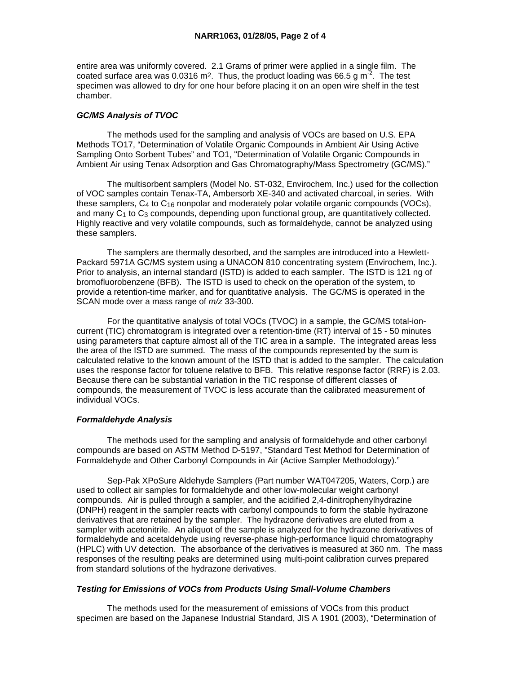entire area was uniformly covered. 2.1 Grams of primer were applied in a single film. The coated surface area was 0.0316 m<sup>2</sup>. Thus, the product loading was 66.5 g m<sup>2</sup>. The test specimen was allowed to dry for one hour before placing it on an open wire shelf in the test chamber.

#### *GC/MS Analysis of TVOC*

 The methods used for the sampling and analysis of VOCs are based on U.S. EPA Methods TO17, "Determination of Volatile Organic Compounds in Ambient Air Using Active Sampling Onto Sorbent Tubes" and TO1, "Determination of Volatile Organic Compounds in Ambient Air using Tenax Adsorption and Gas Chromatography/Mass Spectrometry (GC/MS)."

 The multisorbent samplers (Model No. ST-032, Envirochem, Inc.) used for the collection of VOC samples contain Tenax-TA, Ambersorb XE-340 and activated charcoal, in series. With these samplers,  $C_4$  to  $C_{16}$  nonpolar and moderately polar volatile organic compounds (VOCs), and many  $C_1$  to  $C_3$  compounds, depending upon functional group, are quantitatively collected. Highly reactive and very volatile compounds, such as formaldehyde, cannot be analyzed using these samplers.

 The samplers are thermally desorbed, and the samples are introduced into a Hewlett-Packard 5971A GC/MS system using a UNACON 810 concentrating system (Envirochem, Inc.). Prior to analysis, an internal standard (ISTD) is added to each sampler. The ISTD is 121 ng of bromofluorobenzene (BFB). The ISTD is used to check on the operation of the system, to provide a retention-time marker, and for quantitative analysis. The GC/MS is operated in the SCAN mode over a mass range of *m/z* 33-300.

 For the quantitative analysis of total VOCs (TVOC) in a sample, the GC/MS total-ioncurrent (TIC) chromatogram is integrated over a retention-time (RT) interval of 15 - 50 minutes using parameters that capture almost all of the TIC area in a sample. The integrated areas less the area of the ISTD are summed. The mass of the compounds represented by the sum is calculated relative to the known amount of the ISTD that is added to the sampler. The calculation uses the response factor for toluene relative to BFB. This relative response factor (RRF) is 2.03. Because there can be substantial variation in the TIC response of different classes of compounds, the measurement of TVOC is less accurate than the calibrated measurement of individual VOCs.

### *Formaldehyde Analysis*

 The methods used for the sampling and analysis of formaldehyde and other carbonyl compounds are based on ASTM Method D-5197, "Standard Test Method for Determination of Formaldehyde and Other Carbonyl Compounds in Air (Active Sampler Methodology)."

 Sep-Pak XPoSure Aldehyde Samplers (Part number WAT047205, Waters, Corp.) are used to collect air samples for formaldehyde and other low-molecular weight carbonyl compounds. Air is pulled through a sampler, and the acidified 2,4-dinitrophenylhydrazine (DNPH) reagent in the sampler reacts with carbonyl compounds to form the stable hydrazone derivatives that are retained by the sampler. The hydrazone derivatives are eluted from a sampler with acetonitrile. An aliquot of the sample is analyzed for the hydrazone derivatives of formaldehyde and acetaldehyde using reverse-phase high-performance liquid chromatography (HPLC) with UV detection. The absorbance of the derivatives is measured at 360 nm. The mass responses of the resulting peaks are determined using multi-point calibration curves prepared from standard solutions of the hydrazone derivatives.

## *Testing for Emissions of VOCs from Products Using Small-Volume Chambers*

 The methods used for the measurement of emissions of VOCs from this product specimen are based on the Japanese Industrial Standard, JIS A 1901 (2003), "Determination of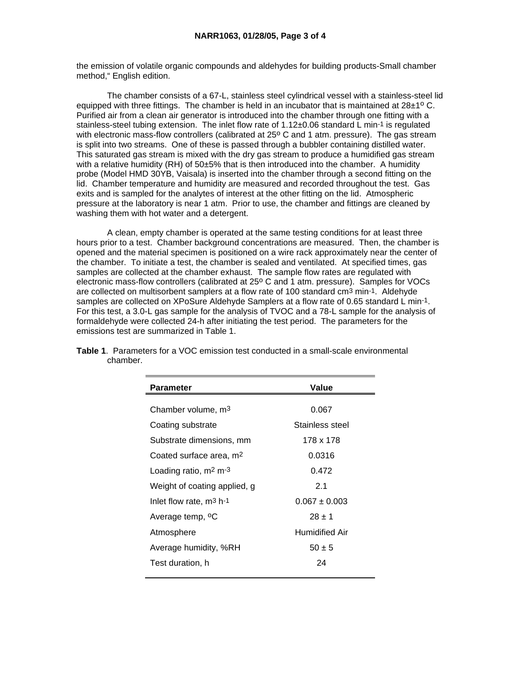the emission of volatile organic compounds and aldehydes for building products-Small chamber method," English edition.

 The chamber consists of a 67-L, stainless steel cylindrical vessel with a stainless-steel lid equipped with three fittings. The chamber is held in an incubator that is maintained at  $28\pm1^{\circ}$  C. Purified air from a clean air generator is introduced into the chamber through one fitting with a stainless-steel tubing extension. The inlet flow rate of 1.12±0.06 standard L min-1 is regulated with electronic mass-flow controllers (calibrated at 25° C and 1 atm. pressure). The gas stream is split into two streams. One of these is passed through a bubbler containing distilled water. This saturated gas stream is mixed with the dry gas stream to produce a humidified gas stream with a relative humidity  $(RH)$  of 50 $\pm$ 5% that is then introduced into the chamber. A humidity probe (Model HMD 30YB, Vaisala) is inserted into the chamber through a second fitting on the lid. Chamber temperature and humidity are measured and recorded throughout the test. Gas exits and is sampled for the analytes of interest at the other fitting on the lid. Atmospheric pressure at the laboratory is near 1 atm. Prior to use, the chamber and fittings are cleaned by washing them with hot water and a detergent.

 A clean, empty chamber is operated at the same testing conditions for at least three hours prior to a test. Chamber background concentrations are measured. Then, the chamber is opened and the material specimen is positioned on a wire rack approximately near the center of the chamber. To initiate a test, the chamber is sealed and ventilated. At specified times, gas samples are collected at the chamber exhaust. The sample flow rates are regulated with electronic mass-flow controllers (calibrated at 25° C and 1 atm. pressure). Samples for VOCs are collected on multisorbent samplers at a flow rate of 100 standard cm3 min-1. Aldehyde samples are collected on XPoSure Aldehyde Samplers at a flow rate of 0.65 standard L min-1. For this test, a 3.0-L gas sample for the analysis of TVOC and a 78-L sample for the analysis of formaldehyde were collected 24-h after initiating the test period. The parameters for the emissions test are summarized in Table 1.

| <b>Parameter</b>                    | Value             |  |
|-------------------------------------|-------------------|--|
|                                     |                   |  |
| Chamber volume, m <sup>3</sup>      | 0.067             |  |
| Coating substrate                   | Stainless steel   |  |
| Substrate dimensions, mm            | 178 x 178         |  |
| Coated surface area, m <sup>2</sup> | 0.0316            |  |
| Loading ratio, $m2 m-3$             | 0.472             |  |
| Weight of coating applied, g        | 2.1               |  |
| Inlet flow rate, $m^3$ h-1          | $0.067 \pm 0.003$ |  |
| Average temp, <sup>o</sup> C        | $28 \pm 1$        |  |
| Atmosphere                          | Humidified Air    |  |
| Average humidity, %RH               | $50 \pm 5$        |  |
| Test duration, h                    | 24                |  |
|                                     |                   |  |

**Table 1**. Parameters for a VOC emission test conducted in a small-scale environmental chamber.